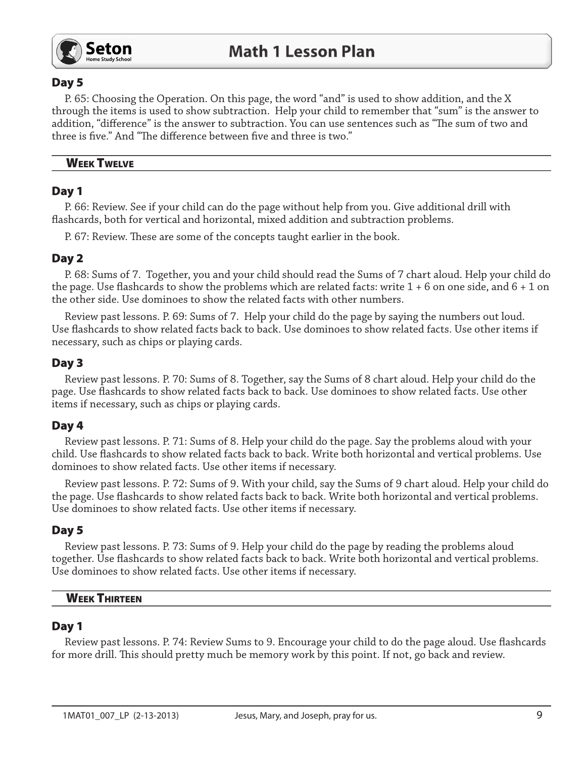

# Day 5

P. 65: Choosing the Operation. On this page, the word "and" is used to show addition, and the X through the items is used to show subtraction. Help your child to remember that "sum" is the answer to addition, "difference" is the answer to subtraction. You can use sentences such as "The sum of two and three is five." And "The difference between five and three is two."

### **WEEK TWELVE**

# Day 1

P. 66: Review. See if your child can do the page without help from you. Give additional drill with flashcards, both for vertical and horizontal, mixed addition and subtraction problems.

P. 67: Review. These are some of the concepts taught earlier in the book.

# Day 2

P. 68: Sums of 7. Together, you and your child should read the Sums of 7 chart aloud. Help your child do the page. Use flashcards to show the problems which are related facts: write  $1 + 6$  on one side, and  $6 + 1$  on the other side. Use dominoes to show the related facts with other numbers.

Review past lessons. P. 69: Sums of 7. Help your child do the page by saying the numbers out loud. Use flashcards to show related facts back to back. Use dominoes to show related facts. Use other items if necessary, such as chips or playing cards.

# Day 3

Review past lessons. P. 70: Sums of 8. Together, say the Sums of 8 chart aloud. Help your child do the page. Use flashcards to show related facts back to back. Use dominoes to show related facts. Use other items if necessary, such as chips or playing cards.

# Day 4

Review past lessons. P. 71: Sums of 8. Help your child do the page. Say the problems aloud with your child. Use flashcards to show related facts back to back. Write both horizontal and vertical problems. Use dominoes to show related facts. Use other items if necessary.

Review past lessons. P. 72: Sums of 9. With your child, say the Sums of 9 chart aloud. Help your child do the page. Use flashcards to show related facts back to back. Write both horizontal and vertical problems. Use dominoes to show related facts. Use other items if necessary.

# Day 5

Review past lessons. P. 73: Sums of 9. Help your child do the page by reading the problems aloud together. Use flashcards to show related facts back to back. Write both horizontal and vertical problems. Use dominoes to show related facts. Use other items if necessary.

# **WEEK THIRTEEN**

# Day 1

Review past lessons. P. 74: Review Sums to 9. Encourage your child to do the page aloud. Use flashcards for more drill. This should pretty much be memory work by this point. If not, go back and review.